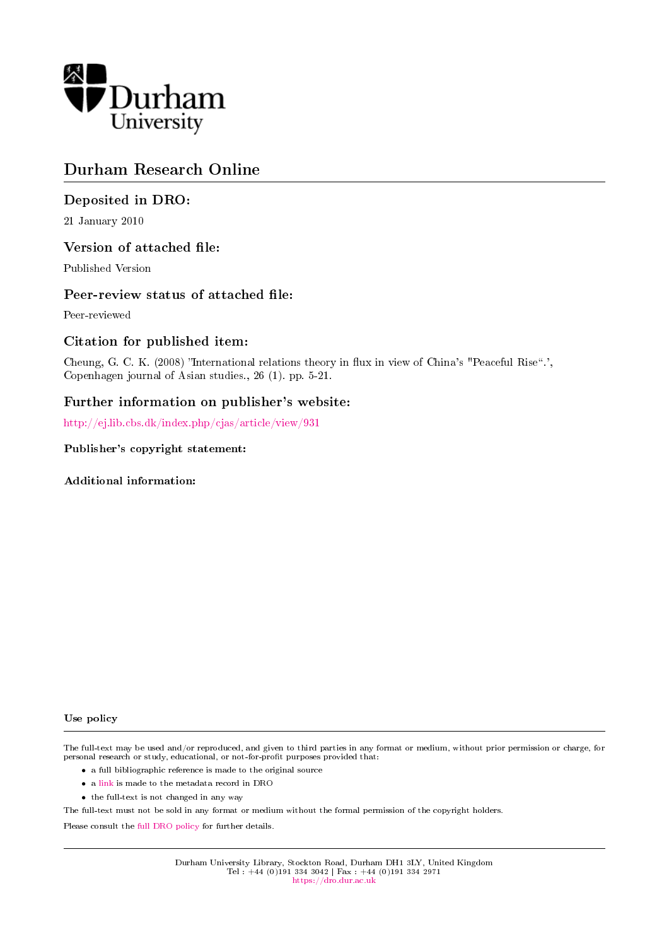

# Durham Research Online

## Deposited in DRO:

21 January 2010

#### Version of attached file:

Published Version

#### Peer-review status of attached file:

Peer-reviewed

#### Citation for published item:

Cheung, G. C. K. (2008) "International relations theory in flux in view of China's "Peaceful Rise".', Copenhagen journal of Asian studies., 26 (1). pp. 5-21.

#### Further information on publisher's website:

<http://ej.lib.cbs.dk/index.php/cjas/article/view/931>

#### Publisher's copyright statement:

Additional information:

#### Use policy

The full-text may be used and/or reproduced, and given to third parties in any format or medium, without prior permission or charge, for personal research or study, educational, or not-for-profit purposes provided that:

- a full bibliographic reference is made to the original source
- a [link](http://dro.dur.ac.uk/5110/) is made to the metadata record in DRO
- the full-text is not changed in any way

The full-text must not be sold in any format or medium without the formal permission of the copyright holders.

Please consult the [full DRO policy](https://dro.dur.ac.uk/policies/usepolicy.pdf) for further details.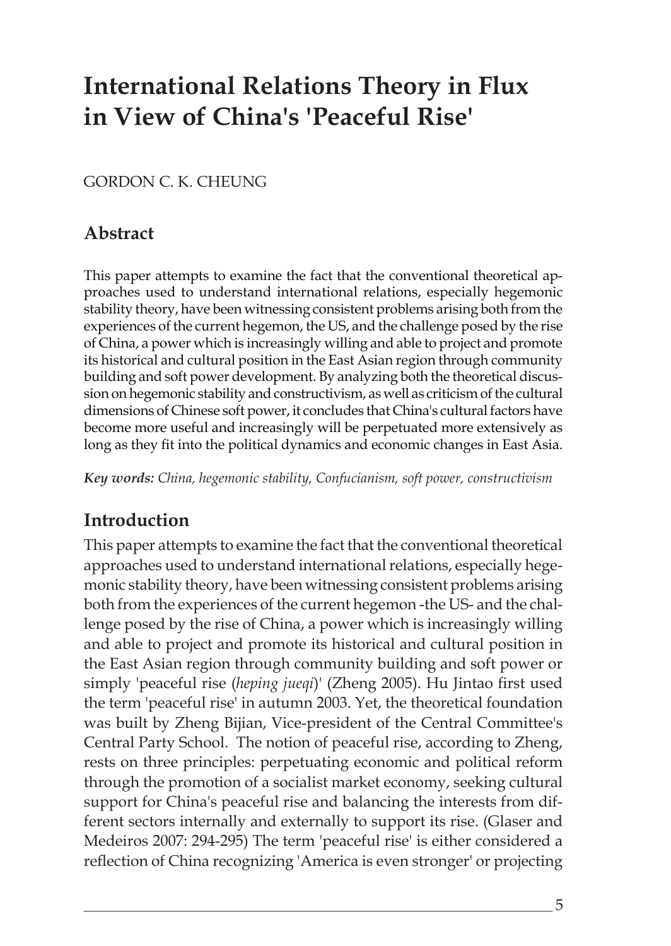# **International Relations Theory in Flux in View of China's 'Peaceful Rise'**

## GORDON C. K. CHEUNG

## **Abstract**

This paper attempts to examine the fact that the conventional theoretical approaches used to understand international relations, especially hegemonic stability theory, have been witnessing consistent problems arising both from the experiences of the current hegemon, the US, and the challenge posed by the rise of China, a power which is increasingly willing and able to project and promote its historical and cultural position in the East Asian region through community building and soft power development. By analyzing both the theoretical discussion on hegemonic stability and constructivism, as well as criticism of the cultural dimensions of Chinese soft power, it concludes that China's cultural factors have become more useful and increasingly will be perpetuated more extensively as long as they fit into the political dynamics and economic changes in East Asia.

*Key words: China, hegemonic stability, Confucianism, soft power, constructivism*

## **Introduction**

This paper attempts to examine the fact that the conventional theoretical approaches used to understand international relations, especially hegemonic stability theory, have been witnessing consistent problems arising both from the experiences of the current hegemon -the US- and the challenge posed by the rise of China, a power which is increasingly willing and able to project and promote its historical and cultural position in the East Asian region through community building and soft power or simply 'peaceful rise (*heping jueqi*)' (Zheng 2005). Hu Jintao first used the term 'peaceful rise' in autumn 2003. Yet, the theoretical foundation was built by Zheng Bijian, Vice-president of the Central Committee's Central Party School. The notion of peaceful rise, according to Zheng, rests on three principles: perpetuating economic and political reform through the promotion of a socialist market economy, seeking cultural support for China's peaceful rise and balancing the interests from different sectors internally and externally to support its rise. (Glaser and Medeiros 2007: 294-295) The term 'peaceful rise' is either considered a reflection of China recognizing 'America is even stronger' or projecting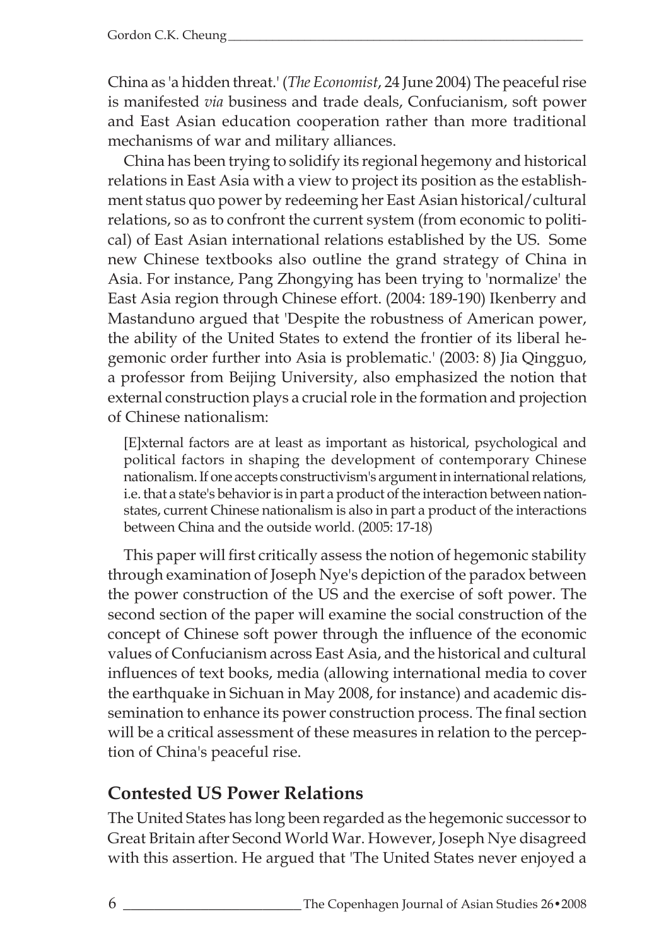China as 'a hidden threat.' (*The Economist*, 24 June 2004) The peaceful rise is manifested *via* business and trade deals, Confucianism, soft power and East Asian education cooperation rather than more traditional mechanisms of war and military alliances.

China has been trying to solidify its regional hegemony and historical relations in East Asia with a view to project its position as the establishment status quo power by redeeming her East Asian historical/cultural relations, so as to confront the current system (from economic to political) of East Asian international relations established by the US. Some new Chinese textbooks also outline the grand strategy of China in Asia. For instance, Pang Zhongying has been trying to 'normalize' the East Asia region through Chinese effort. (2004: 189-190) Ikenberry and Mastanduno argued that 'Despite the robustness of American power, the ability of the United States to extend the frontier of its liberal hegemonic order further into Asia is problematic.' (2003: 8) Jia Qingguo, a professor from Beijing University, also emphasized the notion that external construction plays a crucial role in the formation and projection of Chinese nationalism:

[E]xternal factors are at least as important as historical, psychological and political factors in shaping the development of contemporary Chinese nationalism. If one accepts constructivism's argument in international relations, i.e. that a state's behavior is in part a product of the interaction between nationstates, current Chinese nationalism is also in part a product of the interactions between China and the outside world. (2005: 17-18)

This paper will first critically assess the notion of hegemonic stability through examination of Joseph Nye's depiction of the paradox between the power construction of the US and the exercise of soft power. The second section of the paper will examine the social construction of the concept of Chinese soft power through the influence of the economic values of Confucianism across East Asia, and the historical and cultural influences of text books, media (allowing international media to cover the earthquake in Sichuan in May 2008, for instance) and academic dissemination to enhance its power construction process. The final section will be a critical assessment of these measures in relation to the perception of China's peaceful rise.

## **Contested US Power Relations**

The United States has long been regarded as the hegemonic successor to Great Britain after Second World War. However, Joseph Nye disagreed with this assertion. He argued that 'The United States never enjoyed a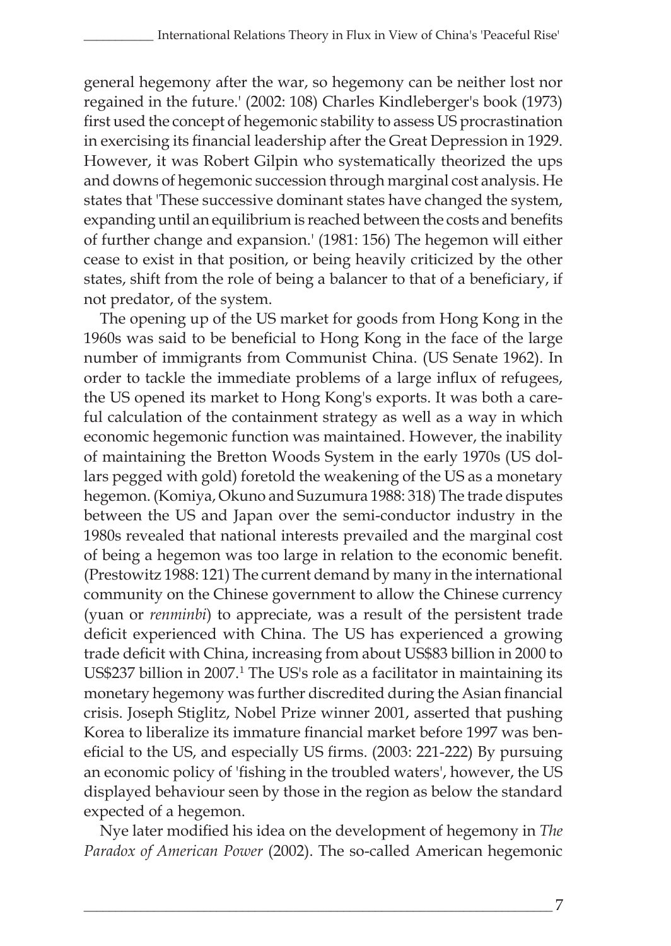general hegemony after the war, so hegemony can be neither lost nor regained in the future.' (2002: 108) Charles Kindleberger's book (1973) first used the concept of hegemonic stability to assess US procrastination in exercising its financial leadership after the Great Depression in 1929. However, it was Robert Gilpin who systematically theorized the ups and downs of hegemonic succession through marginal cost analysis. He states that 'These successive dominant states have changed the system, expanding until an equilibrium is reached between the costs and benefits of further change and expansion.' (1981: 156) The hegemon will either cease to exist in that position, or being heavily criticized by the other states, shift from the role of being a balancer to that of a beneficiary, if not predator, of the system.

The opening up of the US market for goods from Hong Kong in the 1960s was said to be beneficial to Hong Kong in the face of the large number of immigrants from Communist China. (US Senate 1962). In order to tackle the immediate problems of a large influx of refugees, the US opened its market to Hong Kong's exports. It was both a careful calculation of the containment strategy as well as a way in which economic hegemonic function was maintained. However, the inability of maintaining the Bretton Woods System in the early 1970s (US dollars pegged with gold) foretold the weakening of the US as a monetary hegemon. (Komiya, Okuno and Suzumura 1988: 318) The trade disputes between the US and Japan over the semi-conductor industry in the 1980s revealed that national interests prevailed and the marginal cost of being a hegemon was too large in relation to the economic benefit. (Prestowitz 1988: 121) The current demand by many in the international community on the Chinese government to allow the Chinese currency (yuan or *renminbi*) to appreciate, was a result of the persistent trade deficit experienced with China. The US has experienced a growing trade deficit with China, increasing from about US\$83 billion in 2000 to US\$237 billion in 2007.<sup>1</sup> The US's role as a facilitator in maintaining its monetary hegemony was further discredited during the Asian financial crisis. Joseph Stiglitz, Nobel Prize winner 2001, asserted that pushing Korea to liberalize its immature financial market before 1997 was beneficial to the US, and especially US firms. (2003: 221-222) By pursuing an economic policy of 'fishing in the troubled waters', however, the US displayed behaviour seen by those in the region as below the standard expected of a hegemon.

Nye later modified his idea on the development of hegemony in *The Paradox of American Power* (2002). The so-called American hegemonic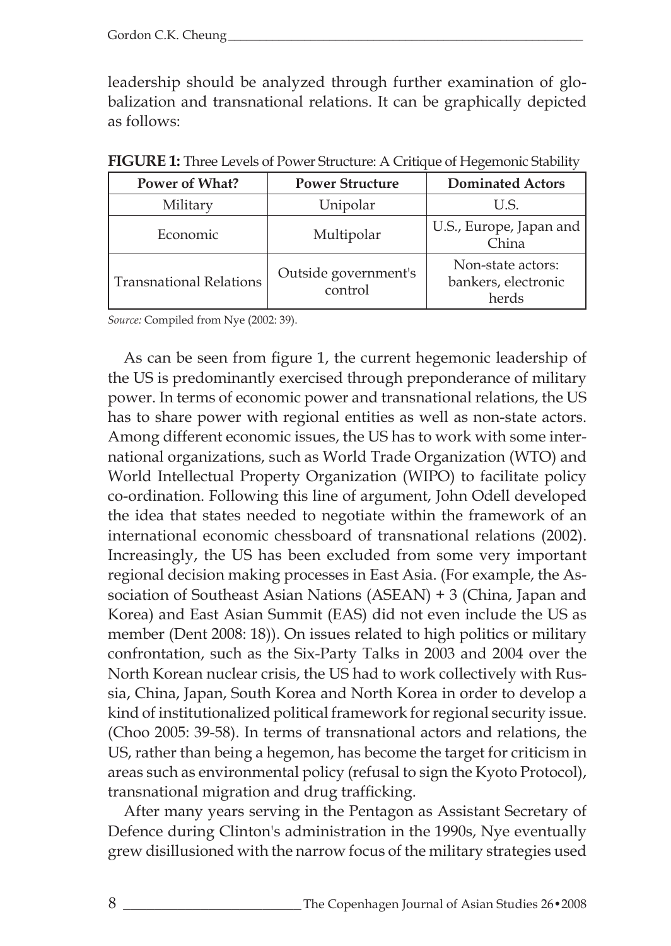leadership should be analyzed through further examination of globalization and transnational relations. It can be graphically depicted as follows:

| Power of What?                 | <b>Power Structure</b>          | <b>Dominated Actors</b>                           |
|--------------------------------|---------------------------------|---------------------------------------------------|
| Military                       | Unipolar                        | U.S.                                              |
| Economic                       | Multipolar                      | U.S., Europe, Japan and<br>China                  |
| <b>Transnational Relations</b> | Outside government's<br>control | Non-state actors:<br>bankers, electronic<br>herds |

**FIGURE 1:** Three Levels of Power Structure: A Critique of Hegemonic Stability

*Source:* Compiled from Nye (2002: 39).

As can be seen from figure 1, the current hegemonic leadership of the US is predominantly exercised through preponderance of military power. In terms of economic power and transnational relations, the US has to share power with regional entities as well as non-state actors. Among different economic issues, the US has to work with some international organizations, such as World Trade Organization (WTO) and World Intellectual Property Organization (WIPO) to facilitate policy co-ordination. Following this line of argument, John Odell developed the idea that states needed to negotiate within the framework of an international economic chessboard of transnational relations (2002). Increasingly, the US has been excluded from some very important regional decision making processes in East Asia. (For example, the Association of Southeast Asian Nations (ASEAN) + 3 (China, Japan and Korea) and East Asian Summit (EAS) did not even include the US as member (Dent 2008: 18)). On issues related to high politics or military confrontation, such as the Six-Party Talks in 2003 and 2004 over the North Korean nuclear crisis, the US had to work collectively with Russia, China, Japan, South Korea and North Korea in order to develop a kind of institutionalized political framework for regional security issue. (Choo 2005: 39-58). In terms of transnational actors and relations, the US, rather than being a hegemon, has become the target for criticism in areas such as environmental policy (refusal to sign the Kyoto Protocol), transnational migration and drug trafficking.

After many years serving in the Pentagon as Assistant Secretary of Defence during Clinton's administration in the 1990s, Nye eventually grew disillusioned with the narrow focus of the military strategies used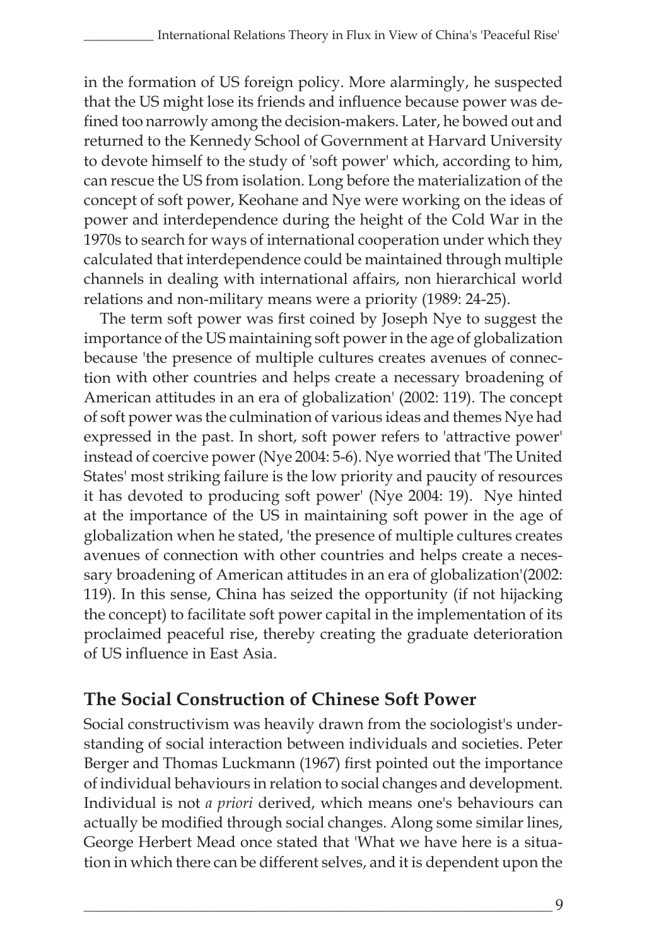in the formation of US foreign policy. More alarmingly, he suspected that the US might lose its friends and influence because power was defined too narrowly among the decision-makers. Later, he bowed out and returned to the Kennedy School of Government at Harvard University to devote himself to the study of 'soft power' which, according to him, can rescue the US from isolation. Long before the materialization of the concept of soft power, Keohane and Nye were working on the ideas of power and interdependence during the height of the Cold War in the 1970s to search for ways of international cooperation under which they calculated that interdependence could be maintained through multiple channels in dealing with international affairs, non hierarchical world relations and non-military means were a priority (1989: 24-25).

The term soft power was first coined by Joseph Nye to suggest the importance of the US maintaining soft power in the age of globalization because 'the presence of multiple cultures creates avenues of connection with other countries and helps create a necessary broadening of American attitudes in an era of globalization' (2002: 119). The concept of soft power was the culmination of various ideas and themes Nye had expressed in the past. In short, soft power refers to 'attractive power' instead of coercive power (Nye 2004: 5-6). Nye worried that 'The United States' most striking failure is the low priority and paucity of resources it has devoted to producing soft power' (Nye 2004: 19). Nye hinted at the importance of the US in maintaining soft power in the age of globalization when he stated, 'the presence of multiple cultures creates avenues of connection with other countries and helps create a necessary broadening of American attitudes in an era of globalization'(2002: 119). In this sense, China has seized the opportunity (if not hijacking the concept) to facilitate soft power capital in the implementation of its proclaimed peaceful rise, thereby creating the graduate deterioration of US influence in East Asia.

## **The Social Construction of Chinese Soft Power**

Social constructivism was heavily drawn from the sociologist's understanding of social interaction between individuals and societies. Peter Berger and Thomas Luckmann (1967) first pointed out the importance of individual behaviours in relation to social changes and development. Individual is not *a priori* derived, which means one's behaviours can actually be modified through social changes. Along some similar lines, George Herbert Mead once stated that 'What we have here is a situation in which there can be different selves, and it is dependent upon the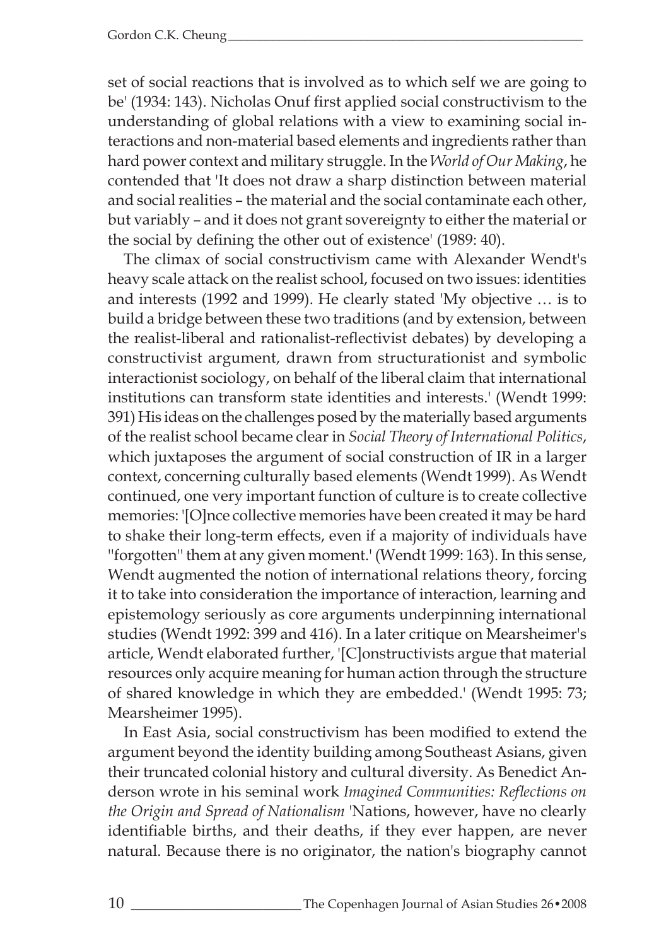set of social reactions that is involved as to which self we are going to be' (1934: 143). Nicholas Onuf first applied social constructivism to the understanding of global relations with a view to examining social interactions and non-material based elements and ingredients rather than hard power context and military struggle. In the *World of Our Making*, he contended that 'It does not draw a sharp distinction between material and social realities – the material and the social contaminate each other, but variably – and it does not grant sovereignty to either the material or the social by defining the other out of existence' (1989: 40).

The climax of social constructivism came with Alexander Wendt's heavy scale attack on the realist school, focused on two issues: identities and interests (1992 and 1999). He clearly stated 'My objective … is to build a bridge between these two traditions (and by extension, between the realist-liberal and rationalist-reflectivist debates) by developing a constructivist argument, drawn from structurationist and symbolic interactionist sociology, on behalf of the liberal claim that international institutions can transform state identities and interests.' (Wendt 1999: 391) His ideas on the challenges posed by the materially based arguments of the realist school became clear in *Social Theory of International Politics*, which juxtaposes the argument of social construction of IR in a larger context, concerning culturally based elements (Wendt 1999). As Wendt continued, one very important function of culture is to create collective memories: '[O]nce collective memories have been created it may be hard to shake their long-term effects, even if a majority of individuals have ''forgotten'' them at any given moment.' (Wendt 1999: 163). In this sense, Wendt augmented the notion of international relations theory, forcing it to take into consideration the importance of interaction, learning and epistemology seriously as core arguments underpinning international studies (Wendt 1992: 399 and 416). In a later critique on Mearsheimer's article, Wendt elaborated further, '[C]onstructivists argue that material resources only acquire meaning for human action through the structure of shared knowledge in which they are embedded.' (Wendt 1995: 73; Mearsheimer 1995).

In East Asia, social constructivism has been modified to extend the argument beyond the identity building among Southeast Asians, given their truncated colonial history and cultural diversity. As Benedict Anderson wrote in his seminal work *Imagined Communities: Reflections on the Origin and Spread of Nationalism* 'Nations, however, have no clearly identifiable births, and their deaths, if they ever happen, are never natural. Because there is no originator, the nation's biography cannot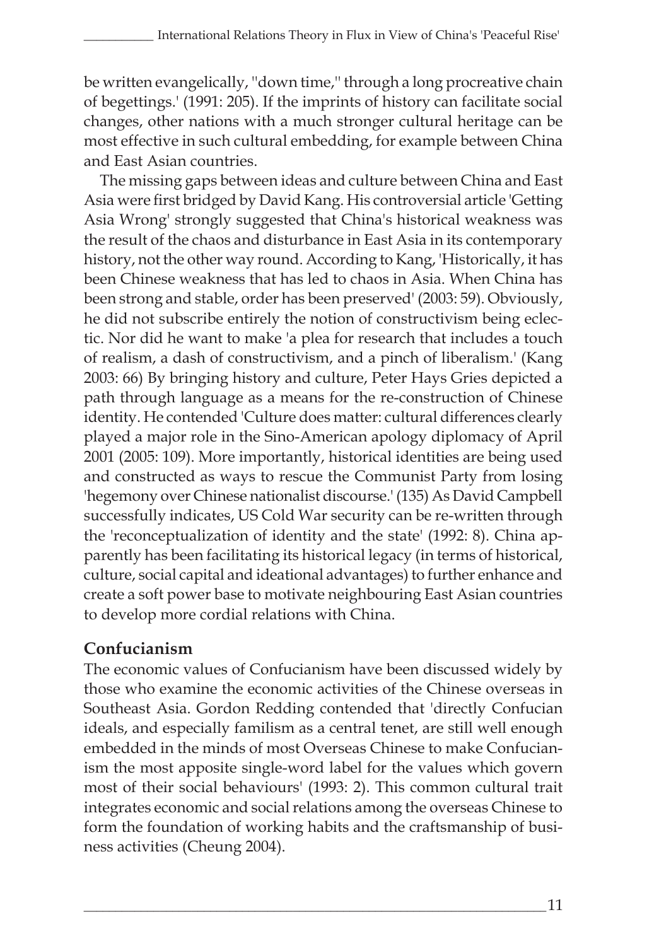be written evangelically, ''down time,'' through a long procreative chain of begettings.' (1991: 205). If the imprints of history can facilitate social changes, other nations with a much stronger cultural heritage can be most effective in such cultural embedding, for example between China and East Asian countries.

The missing gaps between ideas and culture between China and East Asia were first bridged by David Kang. His controversial article 'Getting Asia Wrong' strongly suggested that China's historical weakness was the result of the chaos and disturbance in East Asia in its contemporary history, not the other way round. According to Kang, 'Historically, it has been Chinese weakness that has led to chaos in Asia. When China has been strong and stable, order has been preserved' (2003: 59). Obviously, he did not subscribe entirely the notion of constructivism being eclectic. Nor did he want to make 'a plea for research that includes a touch of realism, a dash of constructivism, and a pinch of liberalism.' (Kang 2003: 66) By bringing history and culture, Peter Hays Gries depicted a path through language as a means for the re-construction of Chinese identity. He contended 'Culture does matter: cultural differences clearly played a major role in the Sino-American apology diplomacy of April 2001 (2005: 109). More importantly, historical identities are being used and constructed as ways to rescue the Communist Party from losing 'hegemony over Chinese nationalist discourse.' (135) As David Campbell successfully indicates, US Cold War security can be re-written through the 'reconceptualization of identity and the state' (1992: 8). China apparently has been facilitating its historical legacy (in terms of historical, culture, social capital and ideational advantages) to further enhance and create a soft power base to motivate neighbouring East Asian countries to develop more cordial relations with China.

## **Confucianism**

The economic values of Confucianism have been discussed widely by those who examine the economic activities of the Chinese overseas in Southeast Asia. Gordon Redding contended that 'directly Confucian ideals, and especially familism as a central tenet, are still well enough embedded in the minds of most Overseas Chinese to make Confucianism the most apposite single-word label for the values which govern most of their social behaviours' (1993: 2). This common cultural trait integrates economic and social relations among the overseas Chinese to form the foundation of working habits and the craftsmanship of business activities (Cheung 2004).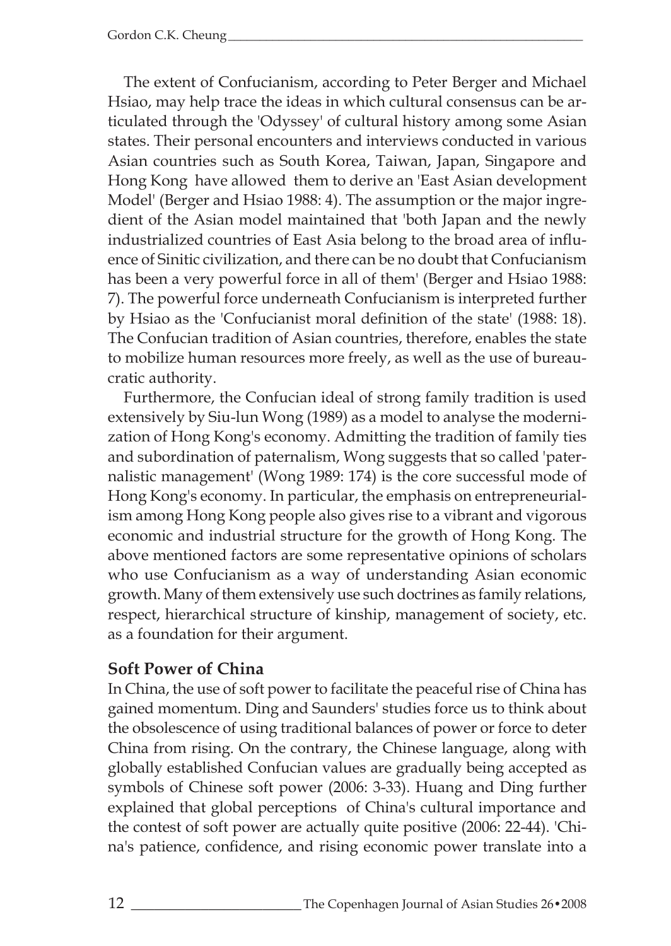The extent of Confucianism, according to Peter Berger and Michael Hsiao, may help trace the ideas in which cultural consensus can be articulated through the 'Odyssey' of cultural history among some Asian states. Their personal encounters and interviews conducted in various Asian countries such as South Korea, Taiwan, Japan, Singapore and Hong Kong have allowed them to derive an 'East Asian development Model' (Berger and Hsiao 1988: 4). The assumption or the major ingredient of the Asian model maintained that 'both Japan and the newly industrialized countries of East Asia belong to the broad area of influence of Sinitic civilization, and there can be no doubt that Confucianism has been a very powerful force in all of them' (Berger and Hsiao 1988: 7). The powerful force underneath Confucianism is interpreted further by Hsiao as the 'Confucianist moral definition of the state' (1988: 18). The Confucian tradition of Asian countries, therefore, enables the state to mobilize human resources more freely, as well as the use of bureaucratic authority.

Furthermore, the Confucian ideal of strong family tradition is used extensively by Siu-lun Wong (1989) as a model to analyse the modernization of Hong Kong's economy. Admitting the tradition of family ties and subordination of paternalism, Wong suggests that so called 'paternalistic management' (Wong 1989: 174) is the core successful mode of Hong Kong's economy. In particular, the emphasis on entrepreneurialism among Hong Kong people also gives rise to a vibrant and vigorous economic and industrial structure for the growth of Hong Kong. The above mentioned factors are some representative opinions of scholars who use Confucianism as a way of understanding Asian economic growth. Many of them extensively use such doctrines as family relations, respect, hierarchical structure of kinship, management of society, etc. as a foundation for their argument.

## **Soft Power of China**

In China, the use of soft power to facilitate the peaceful rise of China has gained momentum. Ding and Saunders' studies force us to think about the obsolescence of using traditional balances of power or force to deter China from rising. On the contrary, the Chinese language, along with globally established Confucian values are gradually being accepted as symbols of Chinese soft power (2006: 3-33). Huang and Ding further explained that global perceptions of China's cultural importance and the contest of soft power are actually quite positive (2006: 22-44). 'China's patience, confidence, and rising economic power translate into a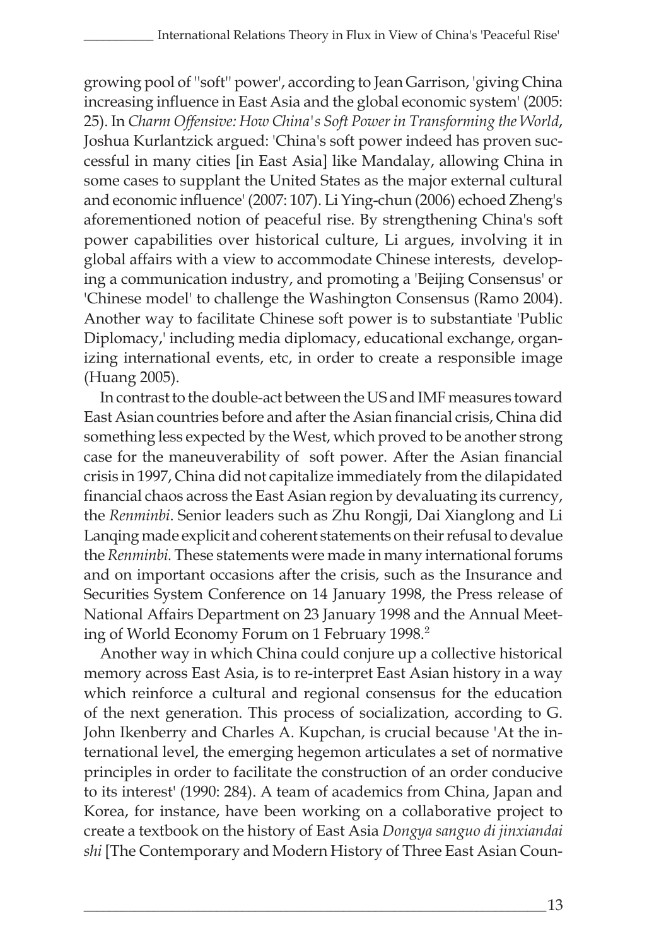growing pool of ''soft'' power', according to Jean Garrison, 'giving China increasing influence in East Asia and the global economic system' (2005: 25). In *Charm Offensive: How China's Soft Power in Transforming the World*, Joshua Kurlantzick argued: 'China's soft power indeed has proven successful in many cities [in East Asia] like Mandalay, allowing China in some cases to supplant the United States as the major external cultural and economic influence' (2007: 107). Li Ying-chun (2006) echoed Zheng's aforementioned notion of peaceful rise. By strengthening China's soft power capabilities over historical culture, Li argues, involving it in global affairs with a view to accommodate Chinese interests, developing a communication industry, and promoting a 'Beijing Consensus' or 'Chinese model' to challenge the Washington Consensus (Ramo 2004). Another way to facilitate Chinese soft power is to substantiate 'Public Diplomacy,' including media diplomacy, educational exchange, organizing international events, etc, in order to create a responsible image (Huang 2005).

In contrast to the double-act between the US and IMF measures toward East Asian countries before and after the Asian financial crisis, China did something less expected by the West, which proved to be another strong case for the maneuverability of soft power. After the Asian financial crisis in 1997, China did not capitalize immediately from the dilapidated financial chaos across the East Asian region by devaluating its currency, the *Renminbi*. Senior leaders such as Zhu Rongji, Dai Xianglong and Li Lanqing made explicit and coherent statements on their refusal to devalue the *Renminbi.* These statements were made in many international forums and on important occasions after the crisis, such as the Insurance and Securities System Conference on 14 January 1998, the Press release of National Affairs Department on 23 January 1998 and the Annual Meeting of World Economy Forum on 1 February 1998.<sup>2</sup>

Another way in which China could conjure up a collective historical memory across East Asia, is to re-interpret East Asian history in a way which reinforce a cultural and regional consensus for the education of the next generation. This process of socialization, according to G. John Ikenberry and Charles A. Kupchan, is crucial because 'At the international level, the emerging hegemon articulates a set of normative principles in order to facilitate the construction of an order conducive to its interest' (1990: 284). A team of academics from China, Japan and Korea, for instance, have been working on a collaborative project to create a textbook on the history of East Asia *Dongya sanguo di jinxiandai shi* [The Contemporary and Modern History of Three East Asian Coun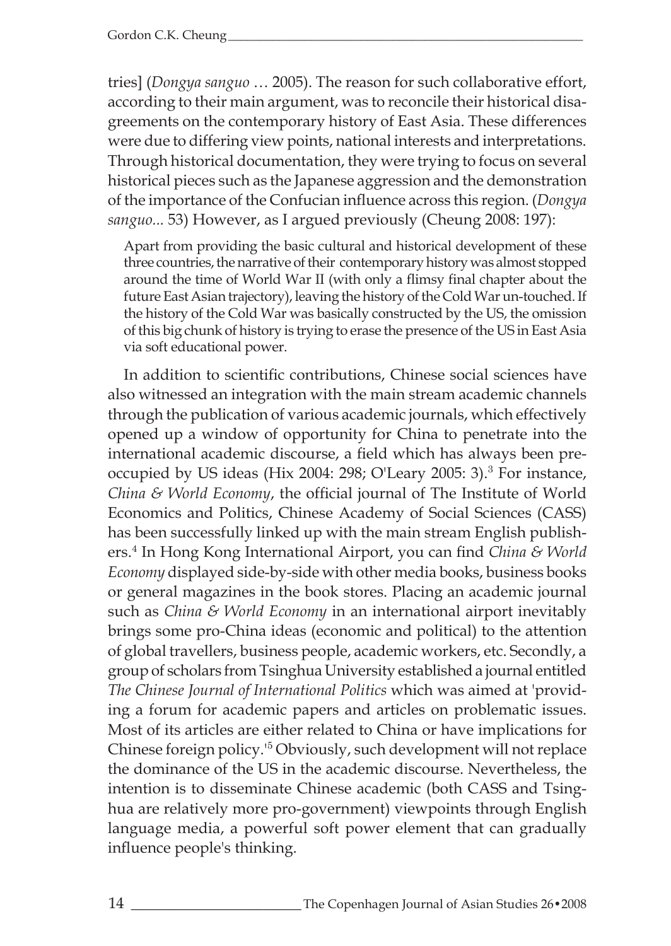tries] (*Dongya sanguo* … 2005). The reason for such collaborative effort, according to their main argument, was to reconcile their historical disagreements on the contemporary history of East Asia. These differences were due to differing view points, national interests and interpretations. Through historical documentation, they were trying to focus on several historical pieces such as the Japanese aggression and the demonstration of the importance of the Confucian influence across this region. (*Dongya sanguo...* 53) However, as I argued previously (Cheung 2008: 197):

Apart from providing the basic cultural and historical development of these three countries, the narrative of their contemporary history was almost stopped around the time of World War II (with only a flimsy final chapter about the future East Asian trajectory), leaving the history of the Cold War un-touched. If the history of the Cold War was basically constructed by the US, the omission of this big chunk of history is trying to erase the presence of the US in East Asia via soft educational power.

In addition to scientific contributions, Chinese social sciences have also witnessed an integration with the main stream academic channels through the publication of various academic journals, which effectively opened up a window of opportunity for China to penetrate into the international academic discourse, a field which has always been preoccupied by US ideas (Hix 2004: 298; O'Leary 2005: 3).<sup>3</sup> For instance, *China & World Economy*, the official journal of The Institute of World Economics and Politics, Chinese Academy of Social Sciences (CASS) has been successfully linked up with the main stream English publishers.<sup>4</sup> In Hong Kong International Airport, you can find *China & World Economy* displayed side-by-side with other media books, business books or general magazines in the book stores. Placing an academic journal such as *China & World Economy* in an international airport inevitably brings some pro-China ideas (economic and political) to the attention of global travellers, business people, academic workers, etc. Secondly, a group of scholars from Tsinghua University established a journal entitled *The Chinese Journal of International Politics* which was aimed at 'providing a forum for academic papers and articles on problematic issues. Most of its articles are either related to China or have implications for Chinese foreign policy.'<sup>5</sup> Obviously, such development will not replace the dominance of the US in the academic discourse. Nevertheless, the intention is to disseminate Chinese academic (both CASS and Tsinghua are relatively more pro-government) viewpoints through English language media, a powerful soft power element that can gradually influence people's thinking.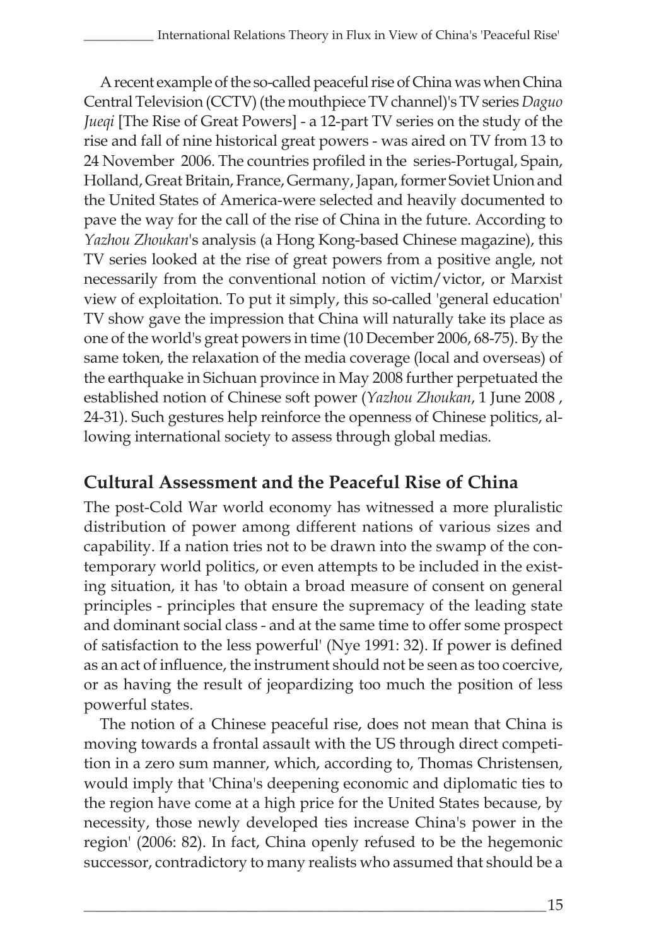A recent example of the so-called peaceful rise of China was when China Central Television (CCTV) (the mouthpiece TV channel)'s TV series *Daguo Jueqi* [The Rise of Great Powers] - a 12-part TV series on the study of the rise and fall of nine historical great powers - was aired on TV from 13 to 24 November 2006. The countries profiled in the series-Portugal, Spain, Holland, Great Britain, France, Germany, Japan, former Soviet Union and the United States of America-were selected and heavily documented to pave the way for the call of the rise of China in the future. According to *Yazhou Zhoukan*'s analysis (a Hong Kong-based Chinese magazine), this TV series looked at the rise of great powers from a positive angle, not necessarily from the conventional notion of victim/victor, or Marxist view of exploitation. To put it simply, this so-called 'general education' TV show gave the impression that China will naturally take its place as one of the world's great powers in time (10 December 2006, 68-75). By the same token, the relaxation of the media coverage (local and overseas) of the earthquake in Sichuan province in May 2008 further perpetuated the established notion of Chinese soft power (*Yazhou Zhoukan*, 1 June 2008 , 24-31). Such gestures help reinforce the openness of Chinese politics, allowing international society to assess through global medias.

## **Cultural Assessment and the Peaceful Rise of China**

The post-Cold War world economy has witnessed a more pluralistic distribution of power among different nations of various sizes and capability. If a nation tries not to be drawn into the swamp of the contemporary world politics, or even attempts to be included in the existing situation, it has 'to obtain a broad measure of consent on general principles - principles that ensure the supremacy of the leading state and dominant social class - and at the same time to offer some prospect of satisfaction to the less powerful' (Nye 1991: 32). If power is defined as an act of influence, the instrument should not be seen as too coercive, or as having the result of jeopardizing too much the position of less powerful states.

The notion of a Chinese peaceful rise, does not mean that China is moving towards a frontal assault with the US through direct competition in a zero sum manner, which, according to, Thomas Christensen, would imply that 'China's deepening economic and diplomatic ties to the region have come at a high price for the United States because, by necessity, those newly developed ties increase China's power in the region' (2006: 82). In fact, China openly refused to be the hegemonic successor, contradictory to many realists who assumed that should be a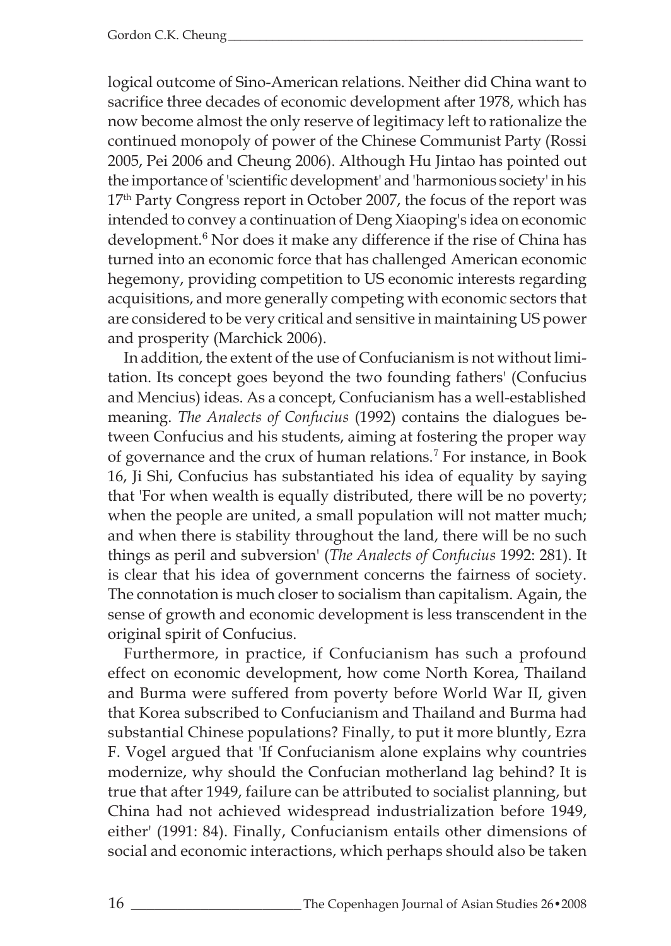logical outcome of Sino-American relations. Neither did China want to sacrifice three decades of economic development after 1978, which has now become almost the only reserve of legitimacy left to rationalize the continued monopoly of power of the Chinese Communist Party (Rossi 2005, Pei 2006 and Cheung 2006). Although Hu Jintao has pointed out the importance of 'scientific development' and 'harmonious society' in his 17<sup>th</sup> Party Congress report in October 2007, the focus of the report was intended to convey a continuation of Deng Xiaoping's idea on economic development.<sup>6</sup> Nor does it make any difference if the rise of China has turned into an economic force that has challenged American economic hegemony, providing competition to US economic interests regarding acquisitions, and more generally competing with economic sectors that are considered to be very critical and sensitive in maintaining US power and prosperity (Marchick 2006).

In addition, the extent of the use of Confucianism is not without limitation. Its concept goes beyond the two founding fathers' (Confucius and Mencius) ideas. As a concept, Confucianism has a well-established meaning. *The Analects of Confucius* (1992) contains the dialogues between Confucius and his students, aiming at fostering the proper way of governance and the crux of human relations.<sup>7</sup> For instance, in Book 16, Ji Shi, Confucius has substantiated his idea of equality by saying that 'For when wealth is equally distributed, there will be no poverty; when the people are united, a small population will not matter much; and when there is stability throughout the land, there will be no such things as peril and subversion' (*The Analects of Confucius* 1992: 281). It is clear that his idea of government concerns the fairness of society. The connotation is much closer to socialism than capitalism. Again, the sense of growth and economic development is less transcendent in the original spirit of Confucius.

Furthermore, in practice, if Confucianism has such a profound effect on economic development, how come North Korea, Thailand and Burma were suffered from poverty before World War II, given that Korea subscribed to Confucianism and Thailand and Burma had substantial Chinese populations? Finally, to put it more bluntly, Ezra F. Vogel argued that 'If Confucianism alone explains why countries modernize, why should the Confucian motherland lag behind? It is true that after 1949, failure can be attributed to socialist planning, but China had not achieved widespread industrialization before 1949, either' (1991: 84). Finally, Confucianism entails other dimensions of social and economic interactions, which perhaps should also be taken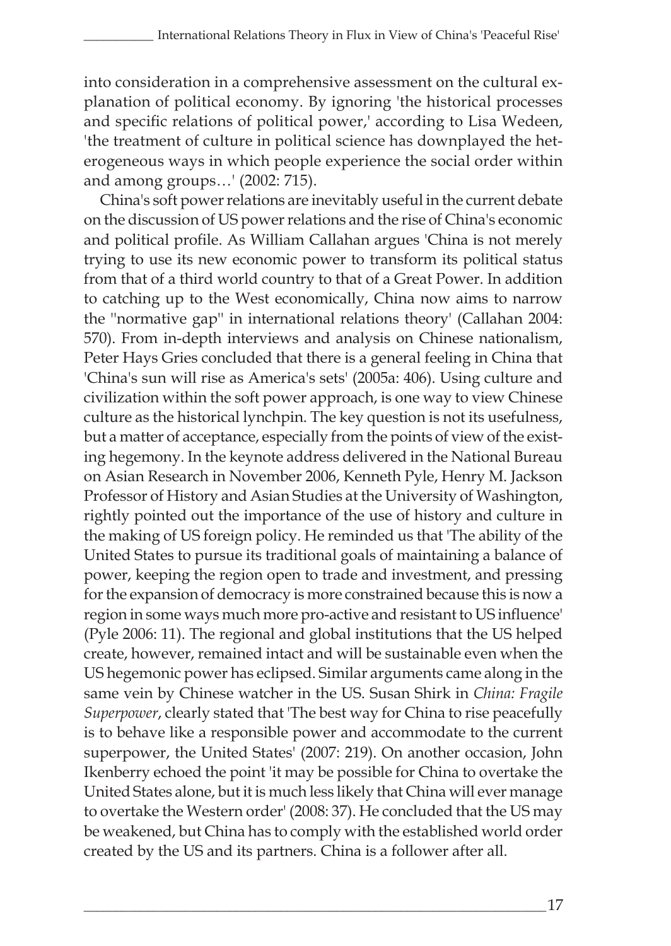into consideration in a comprehensive assessment on the cultural explanation of political economy. By ignoring 'the historical processes and specific relations of political power,' according to Lisa Wedeen, 'the treatment of culture in political science has downplayed the heterogeneous ways in which people experience the social order within and among groups…' (2002: 715).

China's soft power relations are inevitably useful in the current debate on the discussion of US power relations and the rise of China's economic and political profile. As William Callahan argues 'China is not merely trying to use its new economic power to transform its political status from that of a third world country to that of a Great Power. In addition to catching up to the West economically, China now aims to narrow the ''normative gap'' in international relations theory' (Callahan 2004: 570). From in-depth interviews and analysis on Chinese nationalism, Peter Hays Gries concluded that there is a general feeling in China that 'China's sun will rise as America's sets' (2005a: 406). Using culture and civilization within the soft power approach, is one way to view Chinese culture as the historical lynchpin. The key question is not its usefulness, but a matter of acceptance, especially from the points of view of the existing hegemony. In the keynote address delivered in the National Bureau on Asian Research in November 2006, Kenneth Pyle, Henry M. Jackson Professor of History and Asian Studies at the University of Washington, rightly pointed out the importance of the use of history and culture in the making of US foreign policy. He reminded us that 'The ability of the United States to pursue its traditional goals of maintaining a balance of power, keeping the region open to trade and investment, and pressing for the expansion of democracy is more constrained because this is now a region in some ways much more pro-active and resistant to US influence' (Pyle 2006: 11). The regional and global institutions that the US helped create, however, remained intact and will be sustainable even when the US hegemonic power has eclipsed. Similar arguments came along in the same vein by Chinese watcher in the US. Susan Shirk in *China: Fragile Superpower*, clearly stated that 'The best way for China to rise peacefully is to behave like a responsible power and accommodate to the current superpower, the United States' (2007: 219). On another occasion, John Ikenberry echoed the point 'it may be possible for China to overtake the United States alone, but it is much less likely that China will ever manage to overtake the Western order' (2008: 37). He concluded that the US may be weakened, but China has to comply with the established world order created by the US and its partners. China is a follower after all.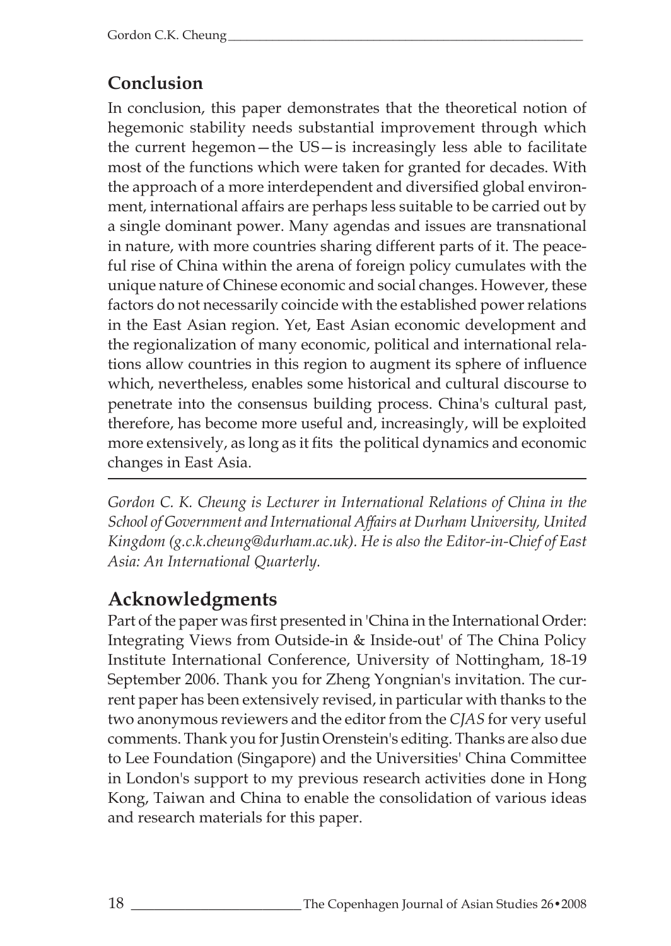# **Conclusion**

In conclusion, this paper demonstrates that the theoretical notion of hegemonic stability needs substantial improvement through which the current hegemon—the US—is increasingly less able to facilitate most of the functions which were taken for granted for decades. With the approach of a more interdependent and diversified global environment, international affairs are perhaps less suitable to be carried out by a single dominant power. Many agendas and issues are transnational in nature, with more countries sharing different parts of it. The peaceful rise of China within the arena of foreign policy cumulates with the unique nature of Chinese economic and social changes. However, these factors do not necessarily coincide with the established power relations in the East Asian region. Yet, East Asian economic development and the regionalization of many economic, political and international relations allow countries in this region to augment its sphere of influence which, nevertheless, enables some historical and cultural discourse to penetrate into the consensus building process. China's cultural past, therefore, has become more useful and, increasingly, will be exploited more extensively, as long as it fits the political dynamics and economic changes in East Asia.

*Gordon C. K. Cheung is Lecturer in International Relations of China in the School of Government and International Affairs at Durham University, United Kingdom (g.c.k.cheung@durham.ac.uk). He is also the Editor-in-Chief of East Asia: An International Quarterly.*

# **Acknowledgments**

Part of the paper was first presented in 'China in the International Order: Integrating Views from Outside-in & Inside-out' of The China Policy Institute International Conference, University of Nottingham, 18-19 September 2006. Thank you for Zheng Yongnian's invitation. The current paper has been extensively revised, in particular with thanks to the two anonymous reviewers and the editor from the *CJAS* for very useful comments. Thank you for Justin Orenstein's editing. Thanks are also due to Lee Foundation (Singapore) and the Universities' China Committee in London's support to my previous research activities done in Hong Kong, Taiwan and China to enable the consolidation of various ideas and research materials for this paper.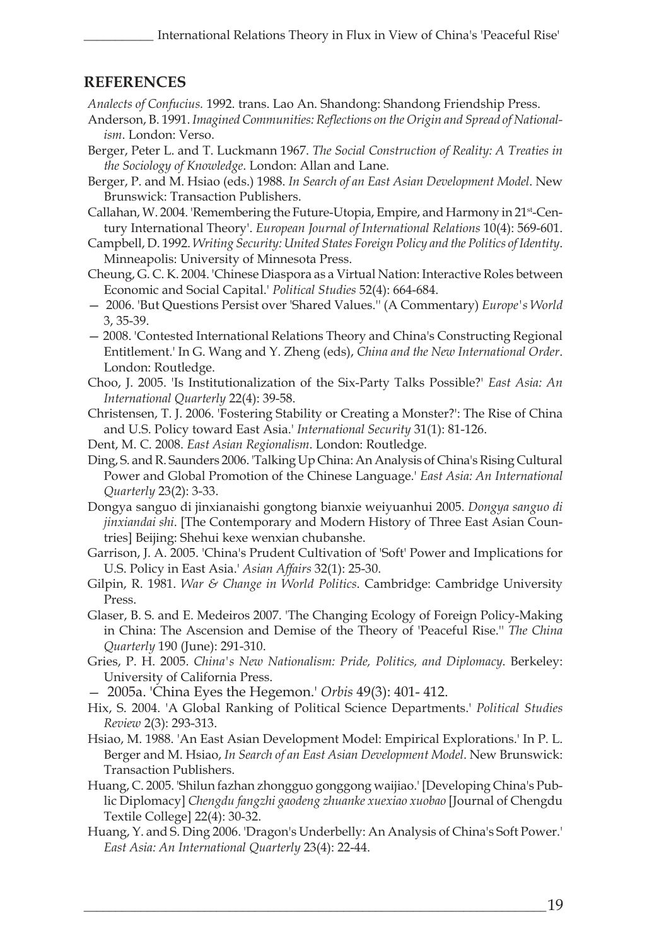#### **REFERENCES**

*Analects of Confucius.* 1992. trans. Lao An. Shandong: Shandong Friendship Press.

- Anderson, B. 1991. *Imagined Communities: Reflections on the Origin and Spread of Nationalism*. London: Verso.
- Berger, Peter L. and T. Luckmann 1967. *The Social Construction of Reality: A Treaties in the Sociology of Knowledge*. London: Allan and Lane.
- Berger, P. and M. Hsiao (eds.) 1988. *In Search of an East Asian Development Model*. New Brunswick: Transaction Publishers.
- Callahan, W. 2004. 'Remembering the Future-Utopia, Empire, and Harmony in 21<sup>st</sup>-Century International Theory'. *European Journal of International Relations* 10(4): 569-601.
- Campbell, D. 1992. *Writing Security: United States Foreign Policy and the Politics of Identity*. Minneapolis: University of Minnesota Press.
- Cheung, G. C. K. 2004. 'Chinese Diaspora as a Virtual Nation: Interactive Roles between Economic and Social Capital.' *Political Studies* 52(4): 664-684.
- 2006. 'But Questions Persist over 'Shared Values.'' (A Commentary) *Europe's World* 3, 35-39.
- 2008. 'Contested International Relations Theory and China's Constructing Regional Entitlement.' In G. Wang and Y. Zheng (eds), *China and the New International Order*. London: Routledge.
- Choo, J. 2005. 'Is Institutionalization of the Six-Party Talks Possible?' *East Asia: An International Quarterly* 22(4): 39-58.
- Christensen, T. J. 2006. 'Fostering Stability or Creating a Monster?': The Rise of China and U.S. Policy toward East Asia.' *International Security* 31(1): 81-126.
- Dent, M. C. 2008. *East Asian Regionalism*. London: Routledge.
- Ding, S. and R. Saunders 2006. 'Talking Up China: An Analysis of China's Rising Cultural Power and Global Promotion of the Chinese Language.' *East Asia: An International Quarterly* 23(2): 3-33.
- Dongya sanguo di jinxianaishi gongtong bianxie weiyuanhui 2005. *Dongya sanguo di jinxiandai shi*. [The Contemporary and Modern History of Three East Asian Countries] Beijing: Shehui kexe wenxian chubanshe.
- Garrison, J. A. 2005. 'China's Prudent Cultivation of 'Soft' Power and Implications for U.S. Policy in East Asia.' *Asian Affairs* 32(1): 25-30.
- Gilpin, R. 1981. *War & Change in World Politics*. Cambridge: Cambridge University Press.
- Glaser, B. S. and E. Medeiros 2007. 'The Changing Ecology of Foreign Policy-Making in China: The Ascension and Demise of the Theory of 'Peaceful Rise.'' *The China Quarterly* 190 (June): 291-310.
- Gries, P. H. 2005. *China's New Nationalism: Pride, Politics, and Diplomacy*. Berkeley: University of California Press.
- 2005a. 'China Eyes the Hegemon.' *Orbis* 49(3): 401- 412.
- Hix, S. 2004. 'A Global Ranking of Political Science Departments.' *Political Studies Review* 2(3): 293-313.
- Hsiao, M. 1988. 'An East Asian Development Model: Empirical Explorations.' In P. L. Berger and M. Hsiao, *In Search of an East Asian Development Model*. New Brunswick: Transaction Publishers.
- Huang, C. 2005. 'Shilun fazhan zhongguo gonggong waijiao.' [Developing China's Public Diplomacy] *Chengdu fangzhi gaodeng zhuanke xuexiao xuobao* [Journal of Chengdu Textile College] 22(4): 30-32.
- Huang, Y. and S. Ding 2006. 'Dragon's Underbelly: An Analysis of China's Soft Power.' *East Asia: An International Quarterly* 23(4): 22-44.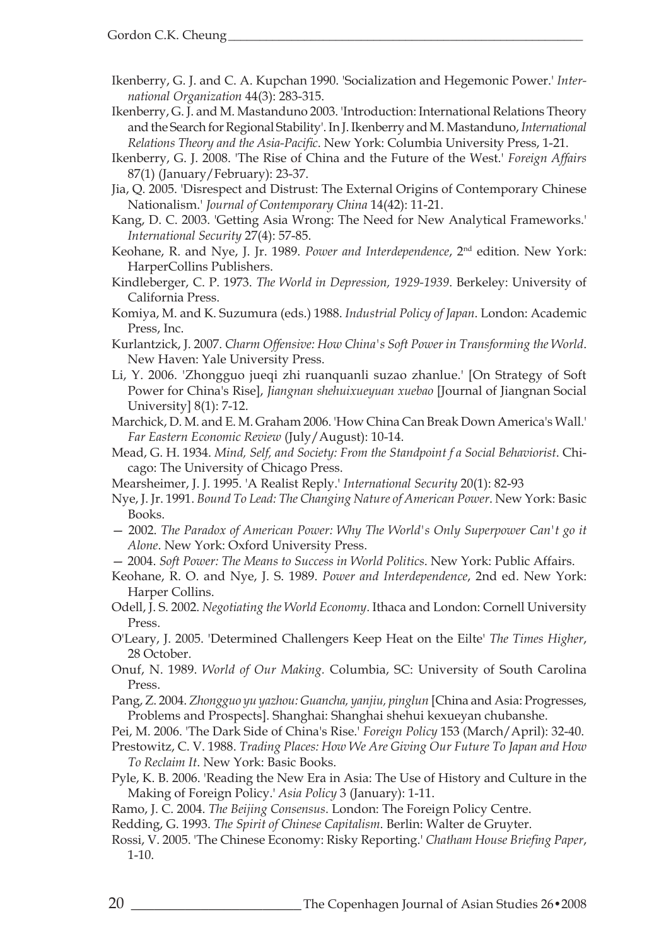Ikenberry, G. J. and C. A. Kupchan 1990. 'Socialization and Hegemonic Power.' *International Organization* 44(3): 283-315.

- Ikenberry, G. J. and M. Mastanduno 2003. 'Introduction: International Relations Theory and the Search for Regional Stability'. In J. Ikenberry and M. Mastanduno, *International Relations Theory and the Asia-Pacific*. New York: Columbia University Press, 1-21.
- Ikenberry, G. J. 2008. 'The Rise of China and the Future of the West.' *Foreign Affairs* 87(1) (January/February): 23-37.

Jia, Q. 2005. 'Disrespect and Distrust: The External Origins of Contemporary Chinese Nationalism.' *Journal of Contemporary China* 14(42): 11-21.

- Kang, D. C. 2003. 'Getting Asia Wrong: The Need for New Analytical Frameworks.' *International Security* 27(4): 57-85.
- Keohane, R. and Nye, J. Jr. 1989. *Power and Interdependence*, 2nd edition. New York: HarperCollins Publishers.

Kindleberger, C. P. 1973. *The World in Depression, 1929-1939*. Berkeley: University of California Press.

- Komiya, M. and K. Suzumura (eds.) 1988. *Industrial Policy of Japan*. London: Academic Press, Inc.
- Kurlantzick, J. 2007. *Charm Offensive: How China's Soft Power in Transforming the World*. New Haven: Yale University Press.
- Li, Y. 2006. 'Zhongguo jueqi zhi ruanquanli suzao zhanlue.' [On Strategy of Soft Power for China's Rise], *Jiangnan shehuixueyuan xuebao* [Journal of Jiangnan Social University] 8(1): 7-12.
- Marchick, D. M. and E. M. Graham 2006. 'How China Can Break Down America's Wall.' *Far Eastern Economic Review* (July/August): 10-14.
- Mead, G. H. 1934. *Mind, Self, and Society: From the Standpoint f a Social Behaviorist*. Chicago: The University of Chicago Press.
- Mearsheimer, J. J. 1995. 'A Realist Reply.' *International Security* 20(1): 82-93
- Nye, J. Jr. 1991. *Bound To Lead: The Changing Nature of American Power*. New York: Basic Books.
- 2002. *The Paradox of American Power: Why The World's Only Superpower Can't go it Alone*. New York: Oxford University Press.
- 2004. *Soft Power: The Means to Success in World Politics*. New York: Public Affairs.

Keohane, R. O. and Nye, J. S. 1989. *Power and Interdependence*, 2nd ed. New York: Harper Collins.

- Odell, J. S. 2002. *Negotiating the World Economy*. Ithaca and London: Cornell University Press.
- O'Leary, J. 2005. 'Determined Challengers Keep Heat on the Eilte' *The Times Higher*, 28 October.
- Onuf, N. 1989. *World of Our Making.* Columbia, SC: University of South Carolina Press.
- Pang, Z. 2004. *Zhongguo yu yazhou: Guancha, yanjiu, pinglun* [China and Asia: Progresses, Problems and Prospects]. Shanghai: Shanghai shehui kexueyan chubanshe.
- Pei, M. 2006. 'The Dark Side of China's Rise.' *Foreign Policy* 153 (March/April): 32-40.
- Prestowitz, C. V. 1988. *Trading Places: How We Are Giving Our Future To Japan and How To Reclaim It*. New York: Basic Books.
- Pyle, K. B. 2006. 'Reading the New Era in Asia: The Use of History and Culture in the Making of Foreign Policy.' *Asia Policy* 3 (January): 1-11.
- Ramo, J. C. 2004. *The Beijing Consensus*. London: The Foreign Policy Centre.
- Redding, G. 1993. *The Spirit of Chinese Capitalism*. Berlin: Walter de Gruyter.
- Rossi, V. 2005. 'The Chinese Economy: Risky Reporting.' *Chatham House Briefing Paper*, 1-10.